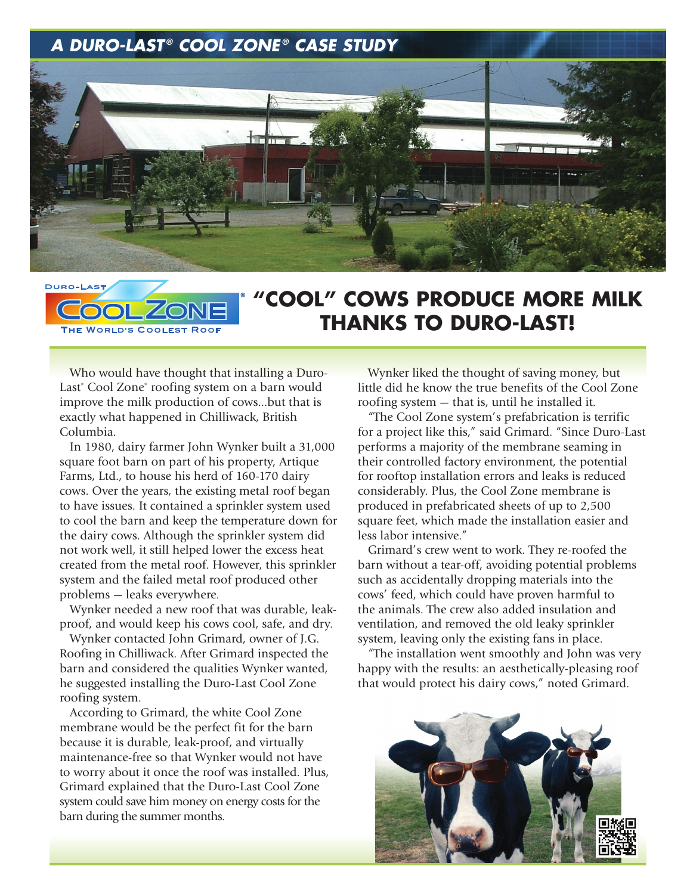## *A DURO-LAST ® COOL ZONE ® A DURO-LAST CASE STUDY ® COOL ZONE ® CASE STUDY*



## **DURO-L** THE WORLD'S COOLEST ROO

## **"COOL" COWS PRODUCE MORE MILK THANKS TO DURO-LAST!**

Who would have thought that installing a Duro-Last<sup>®</sup> Cool Zone<sup>®</sup> roofing system on a barn would improve the milk production of cows…but that is exactly what happened in Chilliwack, British Columbia.

In 1980, dairy farmer John Wynker built a 31,000 square foot barn on part of his property, Artique Farms, Ltd., to house his herd of 160-170 dairy cows. Over the years, the existing metal roof began to have issues. It contained a sprinkler system used to cool the barn and keep the temperature down for the dairy cows. Although the sprinkler system did not work well, it still helped lower the excess heat created from the metal roof. However, this sprinkler system and the failed metal roof produced other problems — leaks everywhere.

Wynker needed a new roof that was durable, leakproof, and would keep his cows cool, safe, and dry.

Wynker contacted John Grimard, owner of J.G. Roofing in Chilliwack. After Grimard inspected the barn and considered the qualities Wynker wanted, he suggested installing the Duro-Last Cool Zone roofing system.

According to Grimard, the white Cool Zone membrane would be the perfect fit for the barn because it is durable, leak-proof, and virtually maintenance-free so that Wynker would not have to worry about it once the roof was installed. Plus, Grimard explained that the Duro-Last Cool Zone system could save him money on energy costs for the barn during the summer months.

Wynker liked the thought of saving money, but little did he know the true benefits of the Cool Zone roofing system — that is, until he installed it.

"The Cool Zone system's prefabrication is terrific for a project like this," said Grimard. "Since Duro-Last performs a majority of the membrane seaming in their controlled factory environment, the potential for rooftop installation errors and leaks is reduced considerably. Plus, the Cool Zone membrane is produced in prefabricated sheets of up to 2,500 square feet, which made the installation easier and less labor intensive."

Grimard's crew went to work. They re-roofed the barn without a tear-off, avoiding potential problems such as accidentally dropping materials into the cows' feed, which could have proven harmful to the animals. The crew also added insulation and ventilation, and removed the old leaky sprinkler system, leaving only the existing fans in place.

"The installation went smoothly and John was very happy with the results: an aesthetically-pleasing roof that would protect his dairy cows," noted Grimard.